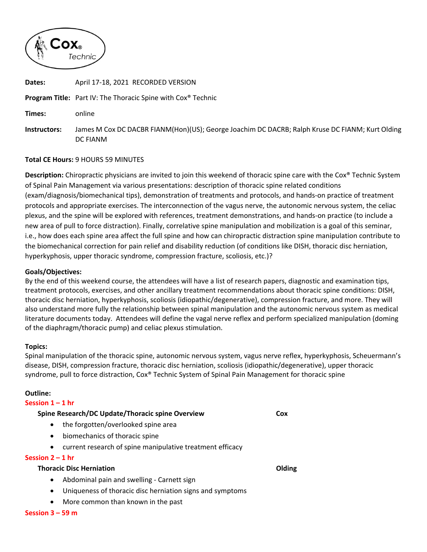

| Dates:       | April 17-18, 2021 RECORDED VERSION                                                                          |
|--------------|-------------------------------------------------------------------------------------------------------------|
|              | <b>Program Title:</b> Part IV: The Thoracic Spine with Cox <sup>®</sup> Technic                             |
| Times:       | online                                                                                                      |
| Instructors: | James M Cox DC DACBR FIANM(Hon)(US); George Joachim DC DACRB; Ralph Kruse DC FIANM; Kurt Olding<br>DC FIANM |

# **Total CE Hours:** 9 HOURS 59 MINUTES

**Description:** Chiropractic physicians are invited to join this weekend of thoracic spine care with the Cox® Technic System of Spinal Pain Management via various presentations: description of thoracic spine related conditions (exam/diagnosis/biomechanical tips), demonstration of treatments and protocols, and hands‐on practice of treatment protocols and appropriate exercises. The interconnection of the vagus nerve, the autonomic nervous system, the celiac plexus, and the spine will be explored with references, treatment demonstrations, and hands‐on practice (to include a new area of pull to force distraction). Finally, correlative spine manipulation and mobilization is a goal of this seminar, i.e., how does each spine area affect the full spine and how can chiropractic distraction spine manipulation contribute to the biomechanical correction for pain relief and disability reduction (of conditions like DISH, thoracic disc herniation, hyperkyphosis, upper thoracic syndrome, compression fracture, scoliosis, etc.)?

# **Goals/Objectives:**

By the end of this weekend course, the attendees will have a list of research papers, diagnostic and examination tips, treatment protocols, exercises, and other ancillary treatment recommendations about thoracic spine conditions: DISH, thoracic disc herniation, hyperkyphosis, scoliosis (idiopathic/degenerative), compression fracture, and more. They will also understand more fully the relationship between spinal manipulation and the autonomic nervous system as medical literature documents today. Attendees will define the vagal nerve reflex and perform specialized manipulation (doming of the diaphragm/thoracic pump) and celiac plexus stimulation.

### **Topics:**

Spinal manipulation of the thoracic spine, autonomic nervous system, vagus nerve reflex, hyperkyphosis, Scheuermann's disease, DISH, compression fracture, thoracic disc herniation, scoliosis (idiopathic/degenerative), upper thoracic syndrome, pull to force distraction, Cox® Technic System of Spinal Pain Management for thoracic spine

### **Outline:**

### **Session 1 – 1 hr**

### **Spine Research/DC Update/Thoracic spine Overview Cox**

- the forgotten/overlooked spine area
- biomechanics of thoracic spine
- current research of spine manipulative treatment efficacy

## **Session 2 – 1 hr**

### **Thoracic Disc Herniation Olding**

- Abdominal pain and swelling Carnett sign
- Uniqueness of thoracic disc herniation signs and symptoms
- More common than known in the past

#### **Session 3 – 59 m**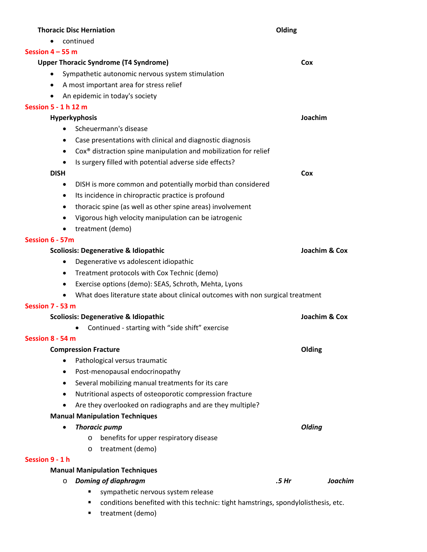| <b>Thoracic Disc Herniation</b>       |                                                                                        | Olding           |               |  |
|---------------------------------------|----------------------------------------------------------------------------------------|------------------|---------------|--|
|                                       | continued                                                                              |                  |               |  |
| Session $4 - 55$ m                    |                                                                                        |                  |               |  |
|                                       | <b>Upper Thoracic Syndrome (T4 Syndrome)</b>                                           |                  | Cox           |  |
| ٠                                     | Sympathetic autonomic nervous system stimulation                                       |                  |               |  |
| $\bullet$                             | A most important area for stress relief                                                |                  |               |  |
|                                       | An epidemic in today's society                                                         |                  |               |  |
| Session 5 - 1 h 12 m                  |                                                                                        |                  |               |  |
| Joachim<br><b>Hyperkyphosis</b>       |                                                                                        |                  |               |  |
|                                       | Scheuermann's disease                                                                  |                  |               |  |
|                                       | Case presentations with clinical and diagnostic diagnosis<br>$\bullet$                 |                  |               |  |
|                                       | Cox <sup>®</sup> distraction spine manipulation and mobilization for relief<br>٠       |                  |               |  |
|                                       | Is surgery filled with potential adverse side effects?<br>$\bullet$                    |                  |               |  |
| <b>DISH</b>                           |                                                                                        |                  | Cox           |  |
|                                       | DISH is more common and potentially morbid than considered<br>٠                        |                  |               |  |
|                                       | Its incidence in chiropractic practice is profound<br>$\bullet$                        |                  |               |  |
|                                       | thoracic spine (as well as other spine areas) involvement<br>$\bullet$                 |                  |               |  |
|                                       | Vigorous high velocity manipulation can be iatrogenic                                  |                  |               |  |
|                                       | treatment (demo)                                                                       |                  |               |  |
| Session 6 - 57m                       |                                                                                        |                  |               |  |
|                                       | <b>Scoliosis: Degenerative &amp; Idiopathic</b>                                        |                  | Joachim & Cox |  |
|                                       | Degenerative vs adolescent idiopathic<br>$\bullet$                                     |                  |               |  |
|                                       | Treatment protocols with Cox Technic (demo)<br>$\bullet$                               |                  |               |  |
|                                       | Exercise options (demo): SEAS, Schroth, Mehta, Lyons<br>$\bullet$                      |                  |               |  |
|                                       | What does literature state about clinical outcomes with non surgical treatment         |                  |               |  |
| Session 7 - 53 m                      |                                                                                        |                  |               |  |
|                                       | <b>Scoliosis: Degenerative &amp; Idiopathic</b>                                        |                  | Joachim & Cox |  |
|                                       | Continued - starting with "side shift" exercise<br>٠                                   |                  |               |  |
| Session 8 - 54 m                      |                                                                                        |                  |               |  |
|                                       | <b>Compression Fracture</b>                                                            |                  | Olding        |  |
|                                       | Pathological versus traumatic<br>$\bullet$                                             |                  |               |  |
|                                       | Post-menopausal endocrinopathy<br>$\bullet$                                            |                  |               |  |
|                                       | Several mobilizing manual treatments for its care<br>$\bullet$                         |                  |               |  |
|                                       | Nutritional aspects of osteoporotic compression fracture<br>$\bullet$                  |                  |               |  |
|                                       | Are they overlooked on radiographs and are they multiple?<br>$\bullet$                 |                  |               |  |
|                                       | <b>Manual Manipulation Techniques</b>                                                  |                  |               |  |
|                                       | <b>Thoracic pump</b><br>$\bullet$                                                      |                  | <b>Olding</b> |  |
|                                       | benefits for upper respiratory disease<br>O                                            |                  |               |  |
| Session 9 - 1 h                       | treatment (demo)<br>O                                                                  |                  |               |  |
| <b>Manual Manipulation Techniques</b> |                                                                                        |                  |               |  |
|                                       | <b>Doming of diaphragm</b><br>$\circ$                                                  | .5 <sub>hr</sub> | Joachim       |  |
|                                       | sympathetic nervous system release<br>٠                                                |                  |               |  |
|                                       | conditions benefited with this technic: tight hamstrings, spondylolisthesis, etc.<br>п |                  |               |  |
|                                       | treatment (demo)<br>٠                                                                  |                  |               |  |